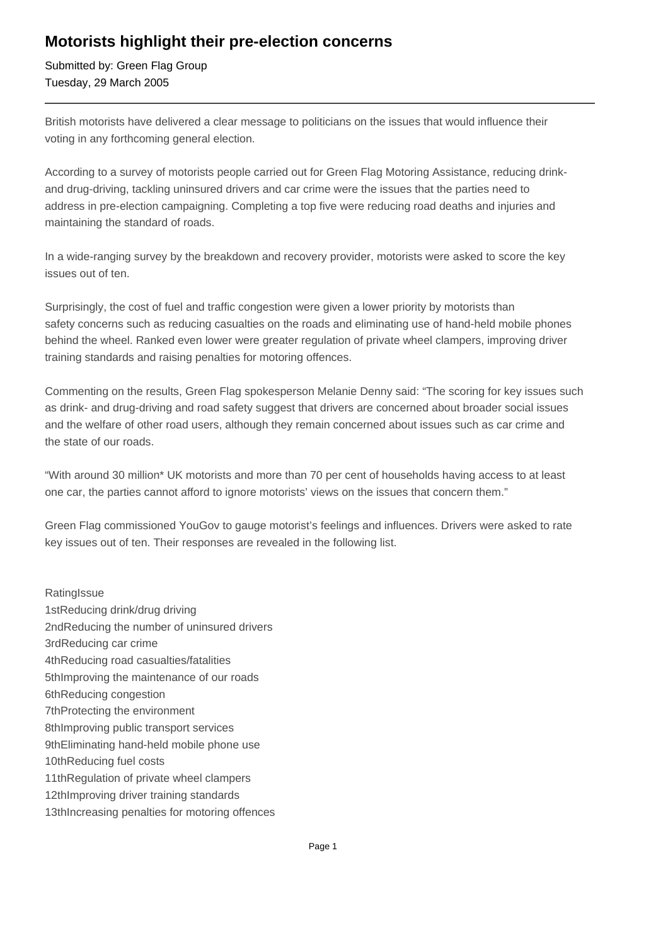# **Motorists highlight their pre-election concerns**

Submitted by: Green Flag Group Tuesday, 29 March 2005

British motorists have delivered a clear message to politicians on the issues that would influence their voting in any forthcoming general election.

According to a survey of motorists people carried out for Green Flag Motoring Assistance, reducing drinkand drug-driving, tackling uninsured drivers and car crime were the issues that the parties need to address in pre-election campaigning. Completing a top five were reducing road deaths and injuries and maintaining the standard of roads.

In a wide-ranging survey by the breakdown and recovery provider, motorists were asked to score the key issues out of ten.

Surprisingly, the cost of fuel and traffic congestion were given a lower priority by motorists than safety concerns such as reducing casualties on the roads and eliminating use of hand-held mobile phones behind the wheel. Ranked even lower were greater regulation of private wheel clampers, improving driver training standards and raising penalties for motoring offences.

Commenting on the results, Green Flag spokesperson Melanie Denny said: "The scoring for key issues such as drink- and drug-driving and road safety suggest that drivers are concerned about broader social issues and the welfare of other road users, although they remain concerned about issues such as car crime and the state of our roads.

"With around 30 million\* UK motorists and more than 70 per cent of households having access to at least one car, the parties cannot afford to ignore motorists' views on the issues that concern them."

Green Flag commissioned YouGov to gauge motorist's feelings and influences. Drivers were asked to rate key issues out of ten. Their responses are revealed in the following list.

**Rating Issue** 1st Reducing drink/drug driving 2nd Reducing the number of uninsured drivers 3rd Reducing car crime 4th Reducing road casualties/fatalities 5th Improving the maintenance of our roads 6th Reducing congestion 7th Protecting the environment 8th Improving public transport services 9th Eliminating hand-held mobile phone use 10th Reducing fuel costs 11th Regulation of private wheel clampers 12th Improving driver training standards 13th Increasing penalties for motoring offences